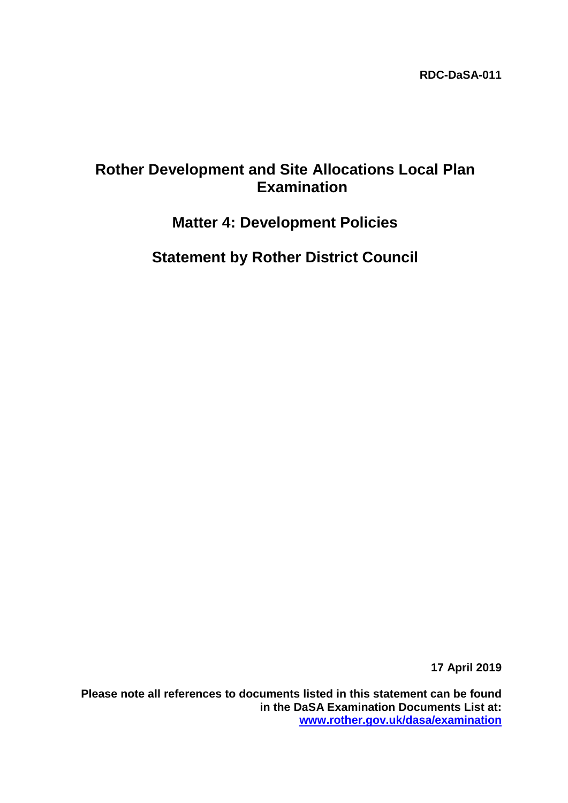# **Rother Development and Site Allocations Local Plan Examination**

# **Matter 4: Development Policies**

**Statement by Rother District Council**

**17 April 2019**

**Please note all references to documents listed in this statement can be found in the DaSA Examination Documents List at: [www.rother.gov.uk/dasa/examination](http://www.rother.gov.uk/dasa/examination)**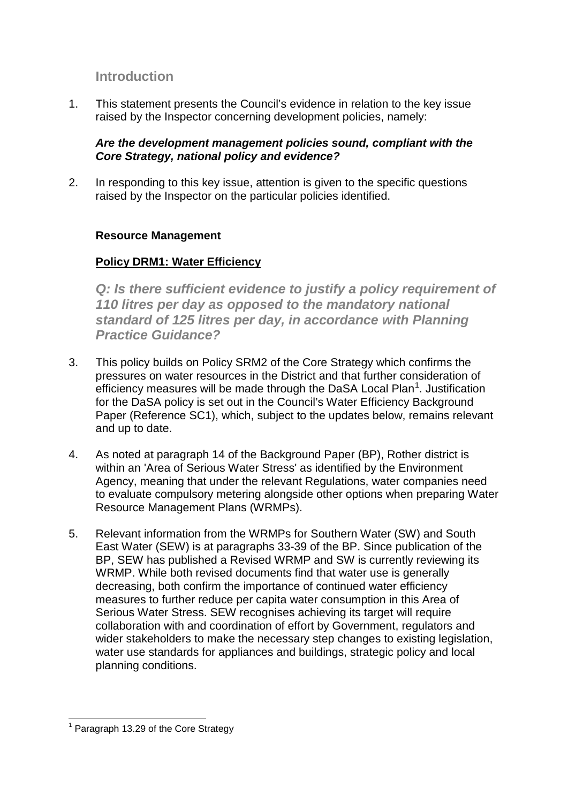# **Introduction**

1. This statement presents the Council's evidence in relation to the key issue raised by the Inspector concerning development policies, namely:

### *Are the development management policies sound, compliant with the Core Strategy, national policy and evidence?*

2. In responding to this key issue, attention is given to the specific questions raised by the Inspector on the particular policies identified.

#### **Resource Management**

### **Policy DRM1: Water Efficiency**

*Q: Is there sufficient evidence to justify a policy requirement of 110 litres per day as opposed to the mandatory national standard of 125 litres per day, in accordance with Planning Practice Guidance?*

- 3. This policy builds on Policy SRM2 of the Core Strategy which confirms the pressures on water resources in the District and that further consideration of efficiency measures will be made through the DaSA Local Plan<sup>[1](#page-1-0)</sup>. Justification for the DaSA policy is set out in the Council's Water Efficiency Background Paper (Reference SC1), which, subject to the updates below, remains relevant and up to date.
- 4. As noted at paragraph 14 of the Background Paper (BP), Rother district is within an 'Area of Serious Water Stress' as identified by the Environment Agency, meaning that under the relevant Regulations, water companies need to evaluate compulsory metering alongside other options when preparing Water Resource Management Plans (WRMPs).
- 5. Relevant information from the WRMPs for Southern Water (SW) and South East Water (SEW) is at paragraphs 33-39 of the BP. Since publication of the BP, SEW has published a Revised WRMP and SW is currently reviewing its WRMP. While both revised documents find that water use is generally decreasing, both confirm the importance of continued water efficiency measures to further reduce per capita water consumption in this Area of Serious Water Stress, SEW recognises achieving its target will require collaboration with and coordination of effort by Government, regulators and wider stakeholders to make the necessary step changes to existing legislation, water use standards for appliances and buildings, strategic policy and local planning conditions.

<span id="page-1-0"></span> $<sup>1</sup>$  Paragraph 13.29 of the Core Strategy</sup>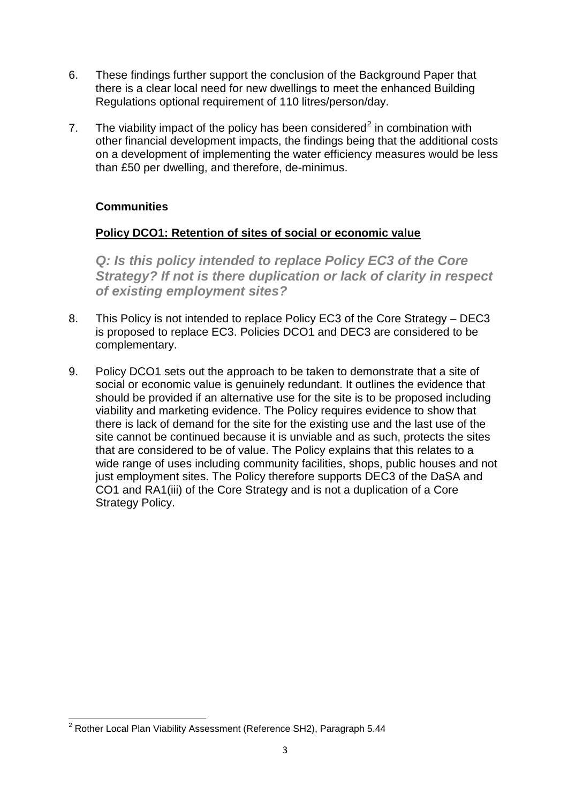- 6. These findings further support the conclusion of the Background Paper that there is a clear local need for new dwellings to meet the enhanced Building Regulations optional requirement of 110 litres/person/day.
- 7. The viability impact of the policy has been considered<sup>[2](#page-2-0)</sup> in combination with other financial development impacts, the findings being that the additional costs on a development of implementing the water efficiency measures would be less than £50 per dwelling, and therefore, de-minimus.

### **Communities**

### **Policy DCO1: Retention of sites of social or economic value**

*Q: Is this policy intended to replace Policy EC3 of the Core Strategy? If not is there duplication or lack of clarity in respect of existing employment sites?*

- 8. This Policy is not intended to replace Policy EC3 of the Core Strategy DEC3 is proposed to replace EC3. Policies DCO1 and DEC3 are considered to be complementary.
- 9. Policy DCO1 sets out the approach to be taken to demonstrate that a site of social or economic value is genuinely redundant. It outlines the evidence that should be provided if an alternative use for the site is to be proposed including viability and marketing evidence. The Policy requires evidence to show that there is lack of demand for the site for the existing use and the last use of the site cannot be continued because it is unviable and as such, protects the sites that are considered to be of value. The Policy explains that this relates to a wide range of uses including community facilities, shops, public houses and not just employment sites. The Policy therefore supports DEC3 of the DaSA and CO1 and RA1(iii) of the Core Strategy and is not a duplication of a Core Strategy Policy.

<span id="page-2-0"></span><sup>&</sup>lt;sup>2</sup> Rother Local Plan Viability Assessment (Reference SH2), Paragraph 5.44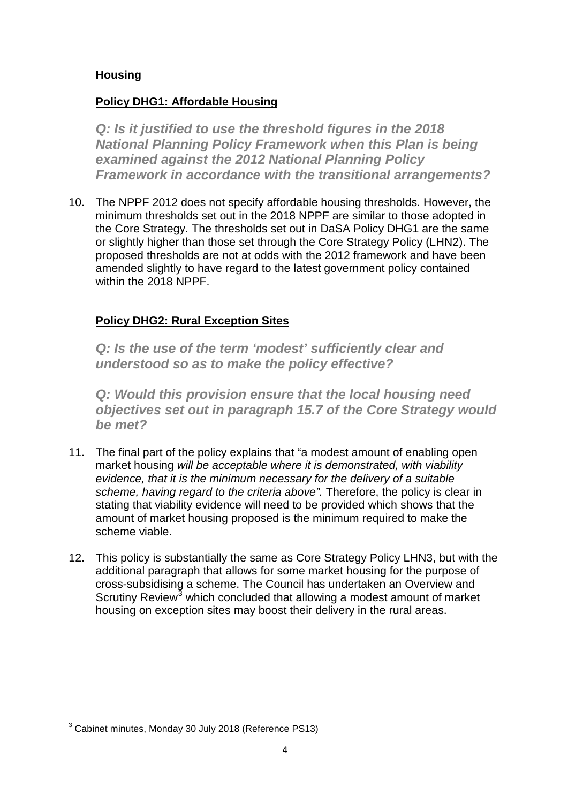### **Housing**

## **Policy DHG1: Affordable Housing**

**Q: Is it justified to use the threshold figures in the 2018** *National Planning Policy Framework when this Plan is being examined against the 2012 National Planning Policy Framework in accordance with the transitional arrangements?*

10. The NPPF 2012 does not specify affordable housing thresholds. However, the minimum thresholds set out in the 2018 NPPF are similar to those adopted in the Core Strategy. The thresholds set out in DaSA Policy DHG1 are the same or slightly higher than those set through the Core Strategy Policy (LHN2). The proposed thresholds are not at odds with the 2012 framework and have been amended slightly to have regard to the latest government policy contained within the 2018 NPPF.

# **Policy DHG2: Rural Exception Sites**

*Q: Is the use of the term 'modest' sufficiently clear and understood so as to make the policy effective?*

*Q: Would this provision ensure that the local housing need objectives set out in paragraph 15.7 of the Core Strategy would be met?*

- 11. The final part of the policy explains that "a modest amount of enabling open market housing *will be acceptable where it is demonstrated, with viability evidence, that it is the minimum necessary for the delivery of a suitable*  scheme, having regard to the criteria above". Therefore, the policy is clear in stating that viability evidence will need to be provided which shows that the amount of market housing proposed is the minimum required to make the scheme viable.
- 12. This policy is substantially the same as Core Strategy Policy LHN3, but with the additional paragraph that allows for some market housing for the purpose of cross-subsidising a scheme. The Council has undertaken an Overview and Scrutiny Review<sup>[3](#page-3-0)</sup> which concluded that allowing a modest amount of market housing on exception sites may boost their delivery in the rural areas.

<span id="page-3-0"></span><sup>3</sup> Cabinet minutes, Monday 30 July 2018 (Reference PS13)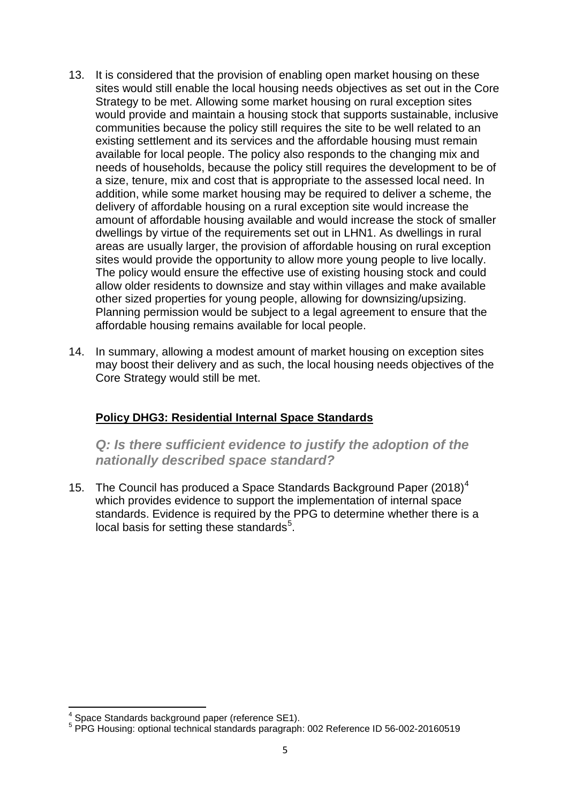- 13. It is considered that the provision of enabling open market housing on these sites would still enable the local housing needs objectives as set out in the Core Strategy to be met. Allowing some market housing on rural exception sites would provide and maintain a housing stock that supports sustainable, inclusive communities because the policy still requires the site to be well related to an existing settlement and its services and the affordable housing must remain available for local people. The policy also responds to the changing mix and needs of households, because the policy still requires the development to be of a size, tenure, mix and cost that is appropriate to the assessed local need. In addition, while some market housing may be required to deliver a scheme, the delivery of affordable housing on a rural exception site would increase the amount of affordable housing available and would increase the stock of smaller dwellings by virtue of the requirements set out in LHN1. As dwellings in rural areas are usually larger, the provision of affordable housing on rural exception sites would provide the opportunity to allow more young people to live locally. The policy would ensure the effective use of existing housing stock and could allow older residents to downsize and stay within villages and make available other sized properties for young people, allowing for downsizing/upsizing. Planning permission would be subject to a legal agreement to ensure that the affordable housing remains available for local people.
- 14. In summary, allowing a modest amount of market housing on exception sites may boost their delivery and as such, the local housing needs objectives of the Core Strategy would still be met.

### **Policy DHG3: Residential Internal Space Standards**

*Q: Is there sufficient evidence to justify the adoption of the nationally described space standard?*

15. The Council has produced a Space Standards Background Paper  $(2018)^4$  $(2018)^4$ which provides evidence to support the implementation of internal space standards. Evidence is required by the PPG to determine whether there is a local basis for setting these standards<sup>[5](#page-4-1)</sup>.

<span id="page-4-1"></span><span id="page-4-0"></span> $4$  Space Standards background paper (reference SE1).<br> $5$  PPG Housing: optional technical standards paragraph: 002 Reference ID 56-002-20160519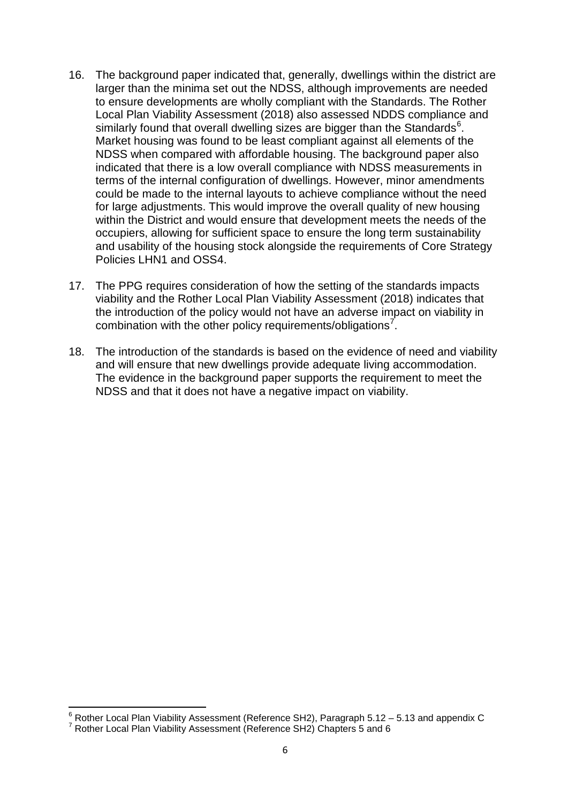- 16. The background paper indicated that, generally, dwellings within the district are larger than the minima set out the NDSS, although improvements are needed to ensure developments are wholly compliant with the Standards. The Rother Local Plan Viability Assessment (2018) also assessed NDDS compliance and similarly found that overall dwelling sizes are bigger than the Standards $^6$  $^6$ . Market housing was found to be least compliant against all elements of the NDSS when compared with affordable housing. The background paper also indicated that there is a low overall compliance with NDSS measurements in terms of the internal configuration of dwellings. However, minor amendments could be made to the internal layouts to achieve compliance without the need for large adjustments. This would improve the overall quality of new housing within the District and would ensure that development meets the needs of the occupiers, allowing for sufficient space to ensure the long term sustainability and usability of the housing stock alongside the requirements of Core Strategy Policies LHN1 and OSS4.
- 17. The PPG requires consideration of how the setting of the standards impacts viability and the Rother Local Plan Viability Assessment (2018) indicates that the introduction of the policy would not have an adverse impact on viability in combination with the other policy requirements/obligations<sup>[7](#page-5-1)</sup>.
- 18. The introduction of the standards is based on the evidence of need and viability and will ensure that new dwellings provide adequate living accommodation. The evidence in the background paper supports the requirement to meet the NDSS and that it does not have a negative impact on viability.

<span id="page-5-0"></span> $^6$  Rother Local Plan Viability Assessment (Reference SH2), Paragraph 5.12 – 5.13 and appendix C  $^7$  Rother Local Plan Viability Assessment (Reference SH2) Chapters 5 and 6

<span id="page-5-1"></span>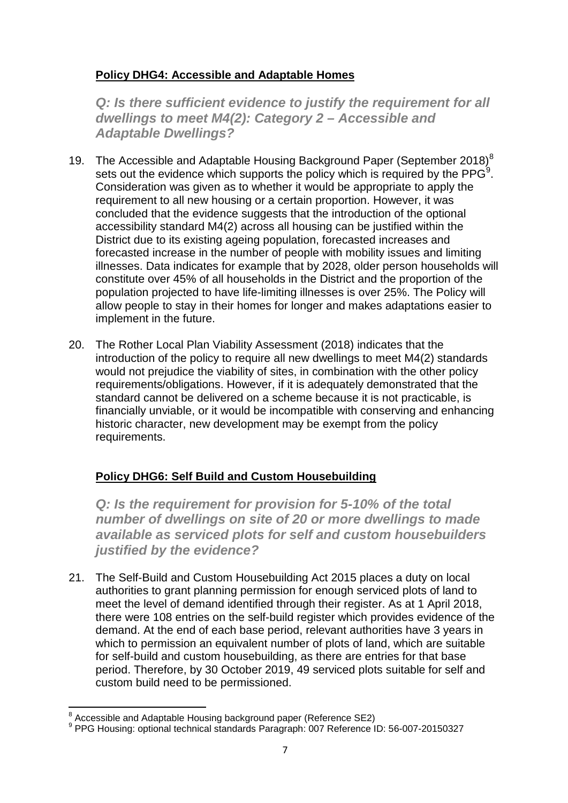# **Policy DHG4: Accessible and Adaptable Homes**

**Q: Is there sufficient evidence to justify the requirement for all** *dwellings to meet M4(2): Category 2 – Accessible and Adaptable Dwellings?*

- 19. The Accessible and Adaptable Housing Background Paper (September 201[8](#page-6-0))<sup>8</sup> sets out the evidence which supports the policy which is required by the PPG $^9$  $^9$ . Consideration was given as to whether it would be appropriate to apply the requirement to all new housing or a certain proportion. However, it was concluded that the evidence suggests that the introduction of the optional accessibility standard M4(2) across all housing can be justified within the District due to its existing ageing population, forecasted increases and forecasted increase in the number of people with mobility issues and limiting illnesses. Data indicates for example that by 2028, older person households will constitute over 45% of all households in the District and the proportion of the population projected to have life-limiting illnesses is over 25%. The Policy will allow people to stay in their homes for longer and makes adaptations easier to implement in the future.
- 20. The Rother Local Plan Viability Assessment (2018) indicates that the introduction of the policy to require all new dwellings to meet M4(2) standards would not prejudice the viability of sites, in combination with the other policy requirements/obligations. However, if it is adequately demonstrated that the standard cannot be delivered on a scheme because it is not practicable, is financially unviable, or it would be incompatible with conserving and enhancing historic character, new development may be exempt from the policy requirements.

# **Policy DHG6: Self Build and Custom Housebuilding**

*Q: Is the requirement for provision for 5-10% of the total number of dwellings on site of 20 or more dwellings to made available as serviced plots for self and custom housebuilders justified by the evidence?*

21. The Self-Build and Custom Housebuilding Act 2015 places a duty on local authorities to grant planning permission for enough serviced plots of land to meet the level of demand identified through their register. As at 1 April 2018, there were 108 entries on the self-build register which provides evidence of the demand. At the end of each base period, relevant authorities have 3 years in which to permission an equivalent number of plots of land, which are suitable for self-build and custom housebuilding, as there are entries for that base period. Therefore, by 30 October 2019, 49 serviced plots suitable for self and custom build need to be permissioned.

<span id="page-6-1"></span><span id="page-6-0"></span><sup>&</sup>lt;sup>8</sup> Accessible and Adaptable Housing background paper (Reference SE2)<br><sup>9</sup> PPG Housing: optional technical standards Paragraph: 007 Reference ID: 56-007-20150327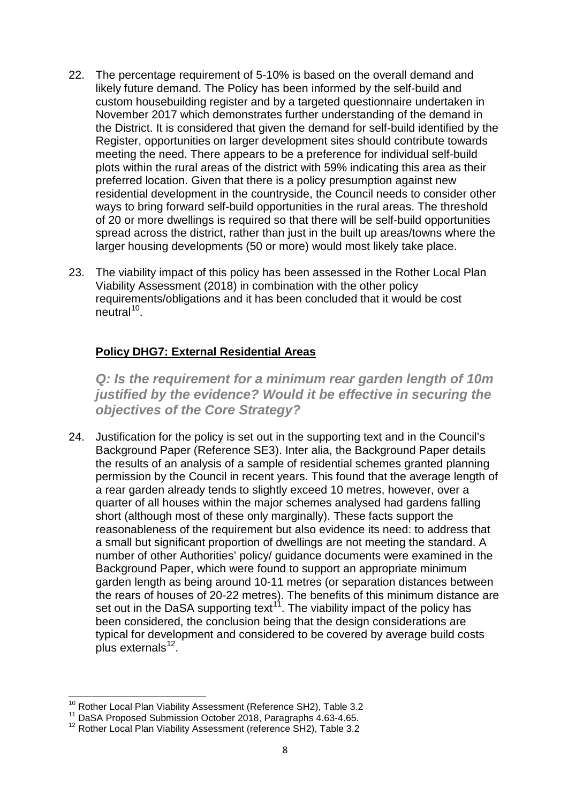- 22. The percentage requirement of 5-10% is based on the overall demand and likely future demand. The Policy has been informed by the self-build and custom housebuilding register and by a targeted questionnaire undertaken in November 2017 which demonstrates further understanding of the demand in the District. It is considered that given the demand for self-build identified by the Register, opportunities on larger development sites should contribute towards meeting the need. There appears to be a preference for individual self-build plots within the rural areas of the district with 59% indicating this area as their preferred location. Given that there is a policy presumption against new residential development in the countryside, the Council needs to consider other ways to bring forward self-build opportunities in the rural areas. The threshold of 20 or more dwellings is required so that there will be self-build opportunities spread across the district, rather than just in the built up areas/towns where the larger housing developments (50 or more) would most likely take place.
- 23. The viability impact of this policy has been assessed in the Rother Local Plan Viability Assessment (2018) in combination with the other policy requirements/obligations and it has been concluded that it would be cost  $neutral<sup>10</sup>$  $neutral<sup>10</sup>$  $neutral<sup>10</sup>$ .

### **Policy DHG7: External Residential Areas**

*Q: Is the requirement for a minimum rear garden length of 10m justified by the evidence? Would it be effective in securing the objectives of the Core Strategy?*

24. Justification for the policy is set out in the supporting text and in the Council's Background Paper (Reference SE3). Inter alia, the Background Paper details the results of an analysis of a sample of residential schemes granted planning permission by the Council in recent years. This found that the average length of a rear garden already tends to slightly exceed 10 metres, however, over a quarter of all houses within the major schemes analysed had gardens falling short (although most of these only marginally). These facts support the reasonableness of the requirement but also evidence its need: to address that a small but significant proportion of dwellings are not meeting the standard. A number of other Authorities' policy/ guidance documents were examined in the Background Paper, which were found to support an appropriate minimum garden length as being around 10-11 metres (or separation distances between the rears of houses of 20-22 metres). The benefits of this minimum distance are set out in the DaSA supporting text<sup>[11](#page-7-1)</sup>. The viability impact of the policy has been considered, the conclusion being that the design considerations are typical for development and considered to be covered by average build costs plus externals $12$ .

<sup>&</sup>lt;sup>10</sup> Rother Local Plan Viability Assessment (Reference SH2), Table 3.2

<span id="page-7-1"></span><span id="page-7-0"></span><sup>11</sup> DaSA Proposed Submission October 2018, Paragraphs 4.63-4.65.

<span id="page-7-2"></span><sup>&</sup>lt;sup>12</sup> Rother Local Plan Viability Assessment (reference SH2), Table 3.2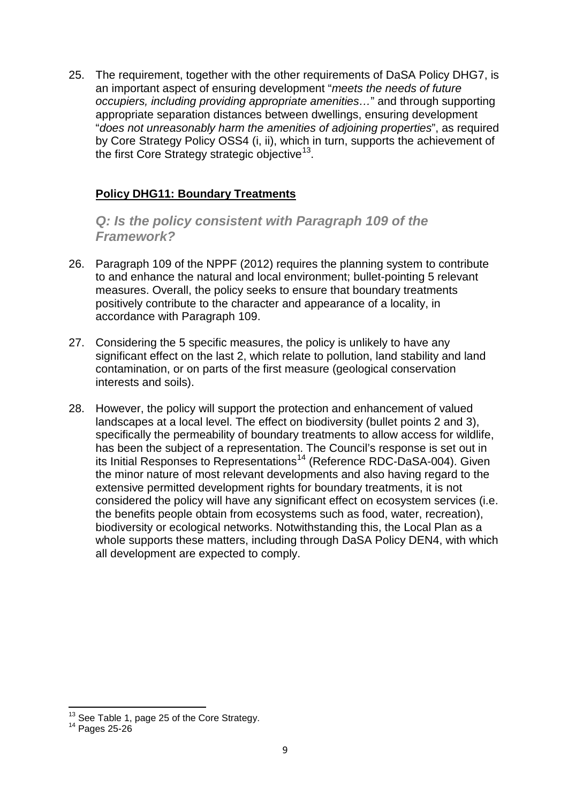25. The requirement, together with the other requirements of DaSA Policy DHG7, is an important aspect of ensuring development "*meets the needs of future occupiers, including providing appropriate amenities…*" and through supporting appropriate separation distances between dwellings, ensuring development "*does not unreasonably harm the amenities of adjoining properties*", as required by Core Strategy Policy OSS4 (i, ii), which in turn, supports the achievement of the first Core Strategy strategic objective<sup>13</sup>.

### **Policy DHG11: Boundary Treatments**

*Q: Is the policy consistent with Paragraph 109 of the Framework?*

- 26. Paragraph 109 of the NPPF (2012) requires the planning system to contribute to and enhance the natural and local environment; bullet-pointing 5 relevant measures. Overall, the policy seeks to ensure that boundary treatments positively contribute to the character and appearance of a locality, in accordance with Paragraph 109.
- 27. Considering the 5 specific measures, the policy is unlikely to have any significant effect on the last 2, which relate to pollution, land stability and land contamination, or on parts of the first measure (geological conservation interests and soils).
- 28. However, the policy will support the protection and enhancement of valued landscapes at a local level. The effect on biodiversity (bullet points 2 and 3), specifically the permeability of boundary treatments to allow access for wildlife, has been the subject of a representation. The Council's response is set out in its Initial Responses to Representations<sup>[14](#page-8-1)</sup> (Reference RDC-DaSA-004). Given the minor nature of most relevant developments and also having regard to the extensive permitted development rights for boundary treatments, it is not considered the policy will have any significant effect on ecosystem services (i.e. the benefits people obtain from ecosystems such as food, water, recreation), biodiversity or ecological networks. Notwithstanding this, the Local Plan as a whole supports these matters, including through DaSA Policy DEN4, with which all development are expected to comply.

<span id="page-8-1"></span><span id="page-8-0"></span><sup>&</sup>lt;sup>13</sup> See Table 1, page 25 of the Core Strategy.<br><sup>14</sup> Pages 25-26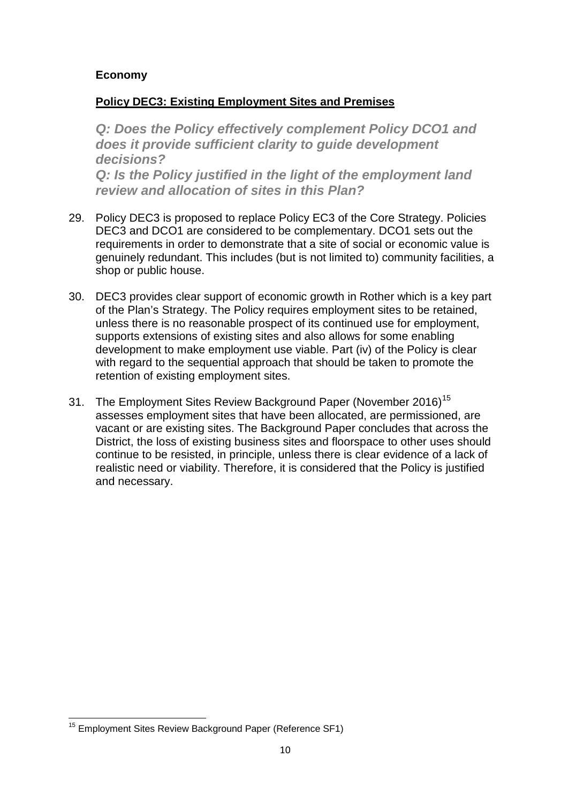### **Economy**

#### **Policy DEC3: Existing Employment Sites and Premises**

*Q: Does the Policy effectively complement Policy DCO1 and does it provide sufficient clarity to guide development decisions? Q: Is the Policy justified in the light of the employment land review and allocation of sites in this Plan?*

- 29. Policy DEC3 is proposed to replace Policy EC3 of the Core Strategy. Policies DEC3 and DCO1 are considered to be complementary. DCO1 sets out the requirements in order to demonstrate that a site of social or economic value is genuinely redundant. This includes (but is not limited to) community facilities, a shop or public house.
- 30. DEC3 provides clear support of economic growth in Rother which is a key part of the Plan's Strategy. The Policy requires employment sites to be retained, unless there is no reasonable prospect of its continued use for employment, supports extensions of existing sites and also allows for some enabling development to make employment use viable. Part (iv) of the Policy is clear with regard to the sequential approach that should be taken to promote the retention of existing employment sites.
- 31. The Employment Sites Review Background Paper (November 2016)<sup>[15](#page-9-0)</sup> assesses employment sites that have been allocated, are permissioned, are vacant or are existing sites. The Background Paper concludes that across the District, the loss of existing business sites and floorspace to other uses should continue to be resisted, in principle, unless there is clear evidence of a lack of realistic need or viability. Therefore, it is considered that the Policy is justified and necessary.

<span id="page-9-0"></span><sup>&</sup>lt;sup>15</sup> Employment Sites Review Background Paper (Reference SF1)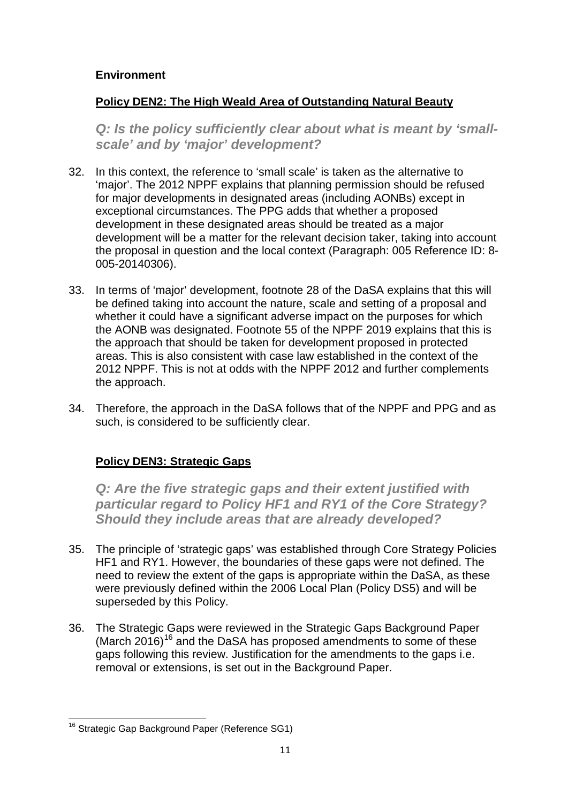### **Environment**

### **Policy DEN2: The High Weald Area of Outstanding Natural Beauty**

*Q: Is the policy sufficiently clear about what is meant by 'smallscale' and by 'major' development?*

- 32. In this context, the reference to 'small scale' is taken as the alternative to 'major'. The 2012 NPPF explains that planning permission should be refused for major developments in designated areas (including AONBs) except in exceptional circumstances. The PPG adds that whether a proposed development in these designated areas should be treated as a major development will be a matter for the relevant decision taker, taking into account the proposal in question and the local context (Paragraph: 005 Reference ID: 8- 005-20140306).
- 33. In terms of 'major' development, footnote 28 of the DaSA explains that this will be defined taking into account the nature, scale and setting of a proposal and whether it could have a significant adverse impact on the purposes for which the AONB was designated. Footnote 55 of the NPPF 2019 explains that this is the approach that should be taken for development proposed in protected areas. This is also consistent with case law established in the context of the 2012 NPPF. This is not at odds with the NPPF 2012 and further complements the approach.
- 34. Therefore, the approach in the DaSA follows that of the NPPF and PPG and as such, is considered to be sufficiently clear.

### **Policy DEN3: Strategic Gaps**

*Q: Are the five strategic gaps and their extent justified with particular regard to Policy HF1 and RY1 of the Core Strategy? Should they include areas that are already developed?*

- 35. The principle of 'strategic gaps' was established through Core Strategy Policies HF1 and RY1. However, the boundaries of these gaps were not defined. The need to review the extent of the gaps is appropriate within the DaSA, as these were previously defined within the 2006 Local Plan (Policy DS5) and will be superseded by this Policy.
- 36. The Strategic Gaps were reviewed in the Strategic Gaps Background Paper (March 20[16](#page-10-0))<sup>16</sup> and the DaSA has proposed amendments to some of these gaps following this review. Justification for the amendments to the gaps i.e. removal or extensions, is set out in the Background Paper.

<span id="page-10-0"></span><sup>&</sup>lt;sup>16</sup> Strategic Gap Background Paper (Reference SG1)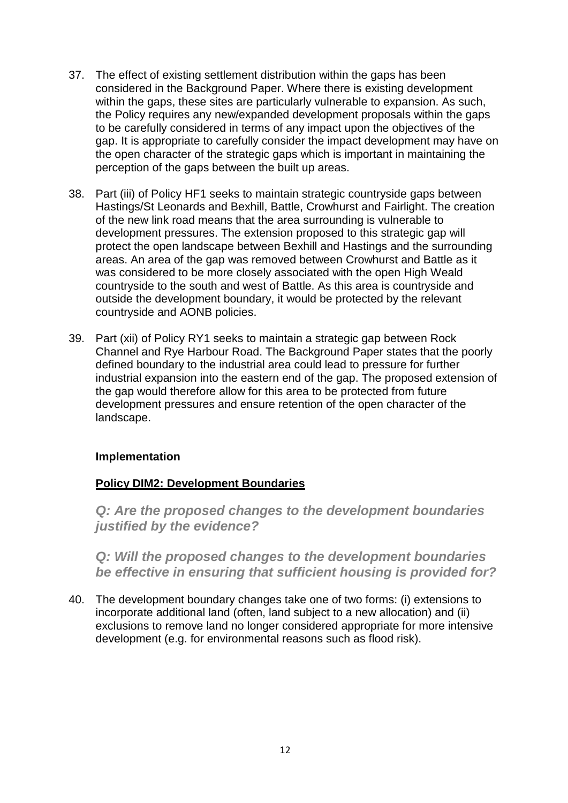- 37. The effect of existing settlement distribution within the gaps has been considered in the Background Paper. Where there is existing development within the gaps, these sites are particularly vulnerable to expansion. As such, the Policy requires any new/expanded development proposals within the gaps to be carefully considered in terms of any impact upon the objectives of the gap. It is appropriate to carefully consider the impact development may have on the open character of the strategic gaps which is important in maintaining the perception of the gaps between the built up areas.
- 38. Part (iii) of Policy HF1 seeks to maintain strategic countryside gaps between Hastings/St Leonards and Bexhill, Battle, Crowhurst and Fairlight. The creation of the new link road means that the area surrounding is vulnerable to development pressures. The extension proposed to this strategic gap will protect the open landscape between Bexhill and Hastings and the surrounding areas. An area of the gap was removed between Crowhurst and Battle as it was considered to be more closely associated with the open High Weald countryside to the south and west of Battle. As this area is countryside and outside the development boundary, it would be protected by the relevant countryside and AONB policies.
- 39. Part (xii) of Policy RY1 seeks to maintain a strategic gap between Rock Channel and Rye Harbour Road. The Background Paper states that the poorly defined boundary to the industrial area could lead to pressure for further industrial expansion into the eastern end of the gap. The proposed extension of the gap would therefore allow for this area to be protected from future development pressures and ensure retention of the open character of the landscape.

#### **Implementation**

### **Policy DIM2: Development Boundaries**

*Q: Are the proposed changes to the development boundaries justified by the evidence?*

*Q: Will the proposed changes to the development boundaries be effective in ensuring that sufficient housing is provided for?*

40. The development boundary changes take one of two forms: (i) extensions to incorporate additional land (often, land subject to a new allocation) and (ii) exclusions to remove land no longer considered appropriate for more intensive development (e.g. for environmental reasons such as flood risk).